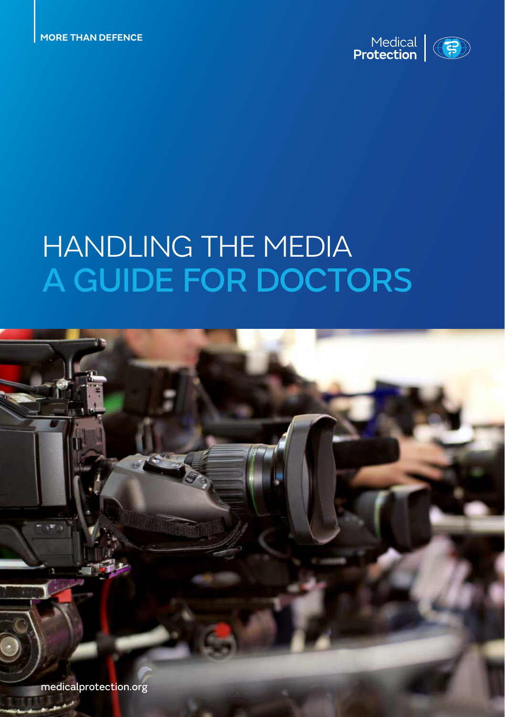

# HANDLING THE MEDIA A GUIDE FOR DOCTORS

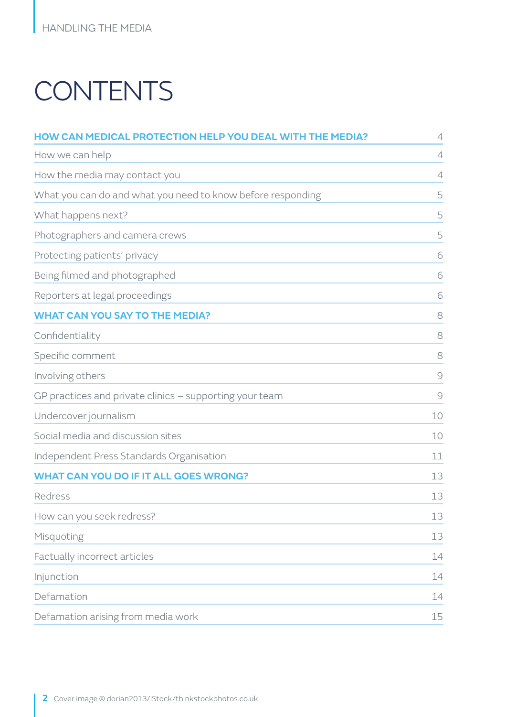# **CONTENTS**

| <b>HOW CAN MEDICAL PROTECTION HELP YOU DEAL WITH THE MEDIA?</b> | 4  |
|-----------------------------------------------------------------|----|
| How we can help                                                 | 4  |
| How the media may contact you                                   | 4  |
| What you can do and what you need to know before responding     | 5  |
| What happens next?                                              | 5  |
| Photographers and camera crews                                  | 5  |
| Protecting patients' privacy                                    | 6  |
| Being filmed and photographed                                   | 6  |
| Reporters at legal proceedings                                  | 6  |
| <b>WHAT CAN YOU SAY TO THE MEDIA?</b>                           | 8  |
| Confidentiality                                                 | 8  |
| Specific comment                                                | 8  |
| Involving others                                                | 9  |
| GP practices and private clinics - supporting your team         | 9  |
| Undercover journalism                                           | 10 |
| Social media and discussion sites                               | 10 |
| Independent Press Standards Organisation                        | 11 |
| <b>WHAT CAN YOU DO IF IT ALL GOES WRONG?</b>                    | 13 |
| Redress                                                         | 13 |
| How can you seek redress?                                       | 13 |
| Misquoting                                                      | 13 |
| Factually incorrect articles                                    | 14 |
| Injunction                                                      | 14 |
| Defamation                                                      | 14 |
| Defamation arising from media work                              | 15 |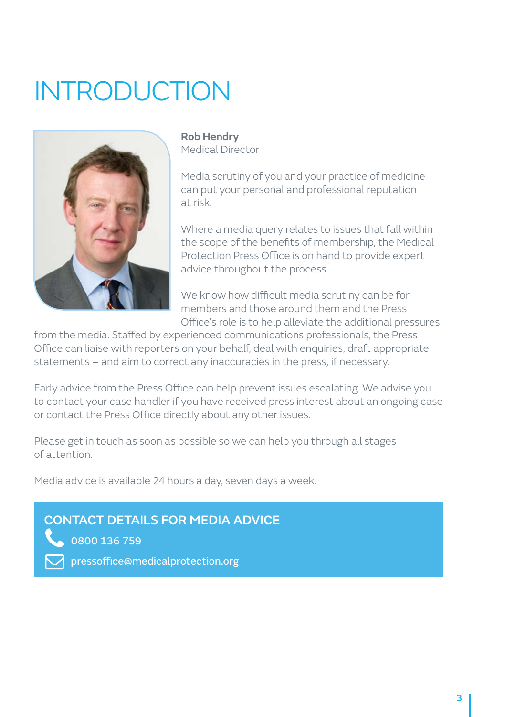# INTRODUCTION



**Rob Hendry** Medical Director

Media scrutiny of you and your practice of medicine can put your personal and professional reputation at risk.

Where a media query relates to issues that fall within the scope of the benefits of membership, the Medical Protection Press Office is on hand to provide expert advice throughout the process.

We know how difficult media scrutiny can be for members and those around them and the Press Office's role is to help alleviate the additional pressures

from the media. Staffed by experienced communications professionals, the Press Office can liaise with reporters on your behalf, deal with enquiries, draft appropriate statements – and aim to correct any inaccuracies in the press, if necessary.

Early advice from the Press Office can help prevent issues escalating. We advise you to contact your case handler if you have received press interest about an ongoing case or contact the Press Office directly about any other issues.

Please get in touch as soon as possible so we can help you through all stages of attention.

Media advice is available 24 hours a day, seven days a week.

## CONTACT DETAILS FOR MEDIA ADVICE

0800 136 759

pressoffice@medicalprotection.org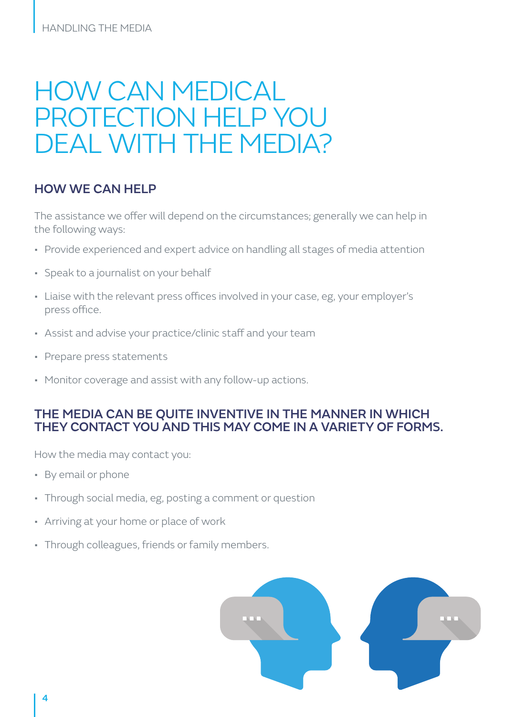## HOW CAN MEDICAL PROTECTION HELP YOU DEAL WITH THE MEDIA?

### HOW WE CAN HELP

The assistance we offer will depend on the circumstances; generally we can help in the following ways:

- Provide experienced and expert advice on handling all stages of media attention
- Speak to a journalist on your behalf
- Liaise with the relevant press offices involved in your case, eg, your employer's press office.
- Assist and advise your practice/clinic staff and your team
- Prepare press statements
- Monitor coverage and assist with any follow-up actions.

### THE MEDIA CAN BE QUITE INVENTIVE IN THE MANNER IN WHICH THEY CONTACT YOU AND THIS MAY COME IN A VARIETY OF FORMS.

How the media may contact you:

- By email or phone
- Through social media, eg, posting a comment or question
- Arriving at your home or place of work
- Through colleagues, friends or family members.

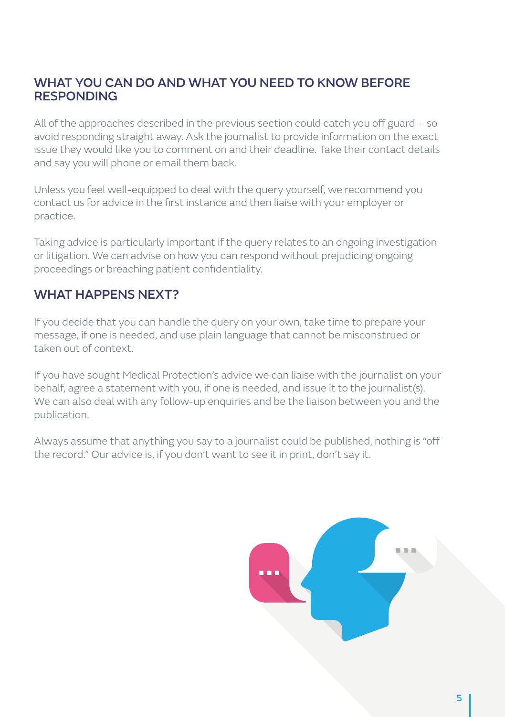## WHAT YOU CAN DO AND WHAT YOU NEED TO KNOW BEFORE **RESPONDING**

All of the approaches described in the previous section could catch you off guard – so avoid responding straight away. Ask the journalist to provide information on the exact issue they would like you to comment on and their deadline. Take their contact details and say you will phone or email them back.

Unless you feel well-equipped to deal with the query yourself, we recommend you contact us for advice in the first instance and then liaise with your employer or practice.

Taking advice is particularly important if the query relates to an ongoing investigation or litigation. We can advise on how you can respond without prejudicing ongoing proceedings or breaching patient confidentiality.

## WHAT HAPPFNS NFXT?

If you decide that you can handle the query on your own, take time to prepare your message, if one is needed, and use plain language that cannot be misconstrued or taken out of context.

If you have sought Medical Protection's advice we can liaise with the journalist on your behalf, agree a statement with you, if one is needed, and issue it to the journalist(s). We can also deal with any follow-up enquiries and be the liaison between you and the publication.

Always assume that anything you say to a journalist could be published, nothing is "off the record." Our advice is, if you don't want to see it in print, don't say it.

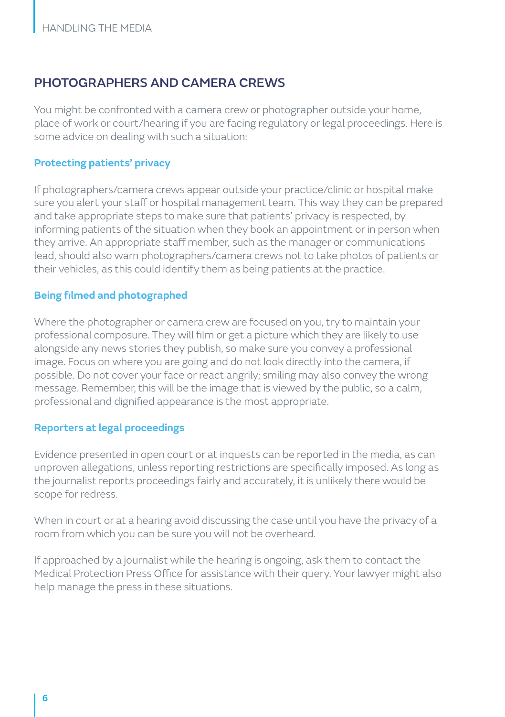### PHOTOGRAPHERS AND CAMERA CREWS

You might be confronted with a camera crew or photographer outside your home, place of work or court/hearing if you are facing regulatory or legal proceedings. Here is some advice on dealing with such a situation:

#### **Protecting patients' privacy**

If photographers/camera crews appear outside your practice/clinic or hospital make sure you alert your staff or hospital management team. This way they can be prepared and take appropriate steps to make sure that patients' privacy is respected, by informing patients of the situation when they book an appointment or in person when they arrive. An appropriate staff member, such as the manager or communications lead, should also warn photographers/camera crews not to take photos of patients or their vehicles, as this could identify them as being patients at the practice.

#### **Being filmed and photographed**

Where the photographer or camera crew are focused on you, try to maintain your professional composure. They will film or get a picture which they are likely to use alongside any news stories they publish, so make sure you convey a professional image. Focus on where you are going and do not look directly into the camera, if possible. Do not cover your face or react angrily; smiling may also convey the wrong message. Remember, this will be the image that is viewed by the public, so a calm, professional and dignified appearance is the most appropriate.

#### **Reporters at legal proceedings**

Evidence presented in open court or at inquests can be reported in the media, as can unproven allegations, unless reporting restrictions are specifically imposed. As long as the journalist reports proceedings fairly and accurately, it is unlikely there would be scope for redress.

When in court or at a hearing avoid discussing the case until you have the privacy of a room from which you can be sure you will not be overheard.

If approached by a journalist while the hearing is ongoing, ask them to contact the Medical Protection Press Office for assistance with their query. Your lawyer might also help manage the press in these situations.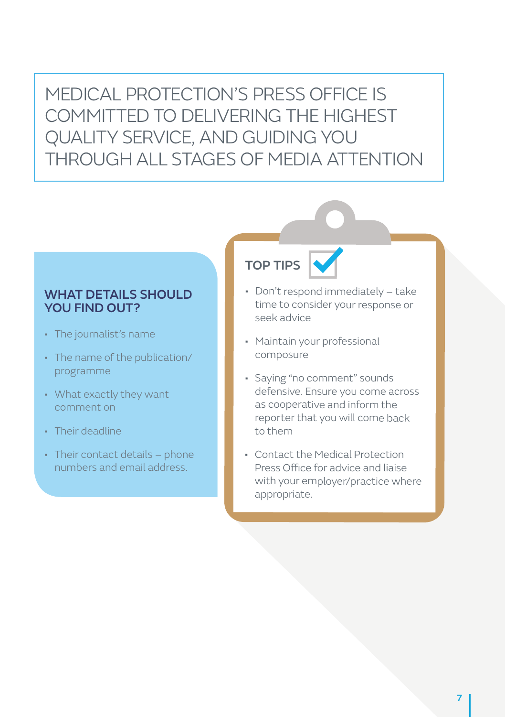MEDICAL PROTECTION'S PRESS OFFICE IS COMMITTED TO DELIVERING THE HIGHEST QUALITY SERVICE, AND GUIDING YOU THROUGH ALL STAGES OF MEDIA ATTENTION

#### WHAT DETAILS SHOULD YOU FIND OUT?

- The journalist's name
- The name of the publication/ programme
- What exactly they want comment on
- Their deadline
- Their contact details phone numbers and email address.

## TOP TIPS

- Don't respond immediately take time to consider your response or seek advice
- Maintain your professional composure
- Saying "no comment" sounds defensive. Ensure you come across as cooperative and inform the reporter that you will come back to them
- Contact the Medical Protection Press Office for advice and liaise with your employer/practice where appropriate.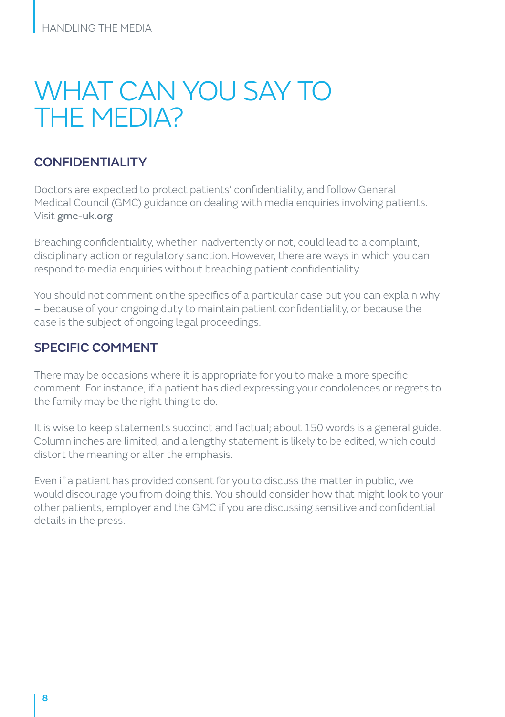## WHAT CAN YOU SAY TO THE MEDIA?

## CONFIDENTIALITY

Doctors are expected to protect patients' confidentiality, and follow General Medical Council (GMC) guidance on dealing with media enquiries involving patients. Visit [gmc-uk.org](http://www.gmc-uk.org) 

Breaching confidentiality, whether inadvertently or not, could lead to a complaint, disciplinary action or regulatory sanction. However, there are ways in which you can respond to media enquiries without breaching patient confidentiality.

You should not comment on the specifics of a particular case but you can explain why – because of your ongoing duty to maintain patient confidentiality, or because the case is the subject of ongoing legal proceedings.

## SPECIFIC COMMENT

There may be occasions where it is appropriate for you to make a more specific comment. For instance, if a patient has died expressing your condolences or regrets to the family may be the right thing to do.

It is wise to keep statements succinct and factual; about 150 words is a general guide. Column inches are limited, and a lengthy statement is likely to be edited, which could distort the meaning or alter the emphasis.

Even if a patient has provided consent for you to discuss the matter in public, we would discourage you from doing this. You should consider how that might look to your other patients, employer and the GMC if you are discussing sensitive and confidential details in the press.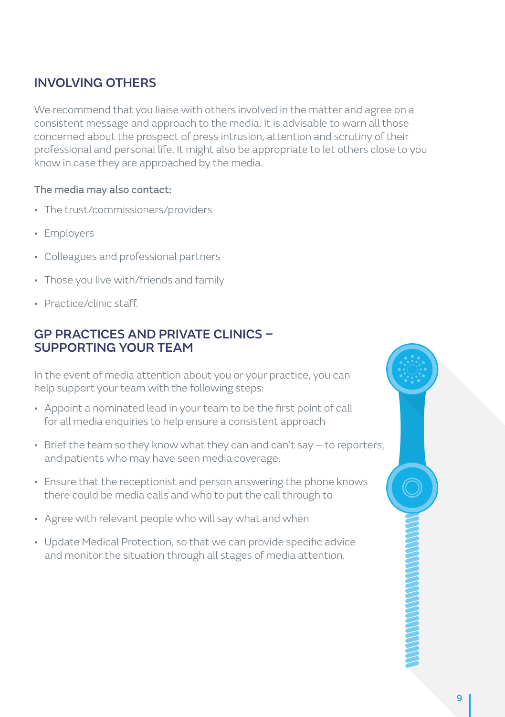## INVOLVING OTHERS

We recommend that you liaise with others involved in the matter and agree on a consistent message and approach to the media. It is advisable to warn all those concerned about the prospect of press intrusion, attention and scrutiny of their professional and personal life. It might also be appropriate to let others close to you know in case they are approached by the media.

#### The media may also contact:

- The trust/commissioners/providers
- Employers
- Colleagues and professional partners
- Those you live with/friends and family
- Practice/clinic staff.

## GP PRACTICES AND PRIVATE CLINICS – SUPPORTING YOUR TEAM

In the event of media attention about you or your practice, you can help support your team with the following steps:

- Appoint a nominated lead in your team to be the first point of call for all media enquiries to help ensure a consistent approach
- Brief the team so they know what they can and can't say to reporters, and patients who may have seen media coverage.
- Ensure that the receptionist and person answering the phone knows there could be media calls and who to put the call through to
- Agree with relevant people who will say what and when
- Update Medical Protection, so that we can provide specific advice and monitor the situation through all stages of media attention.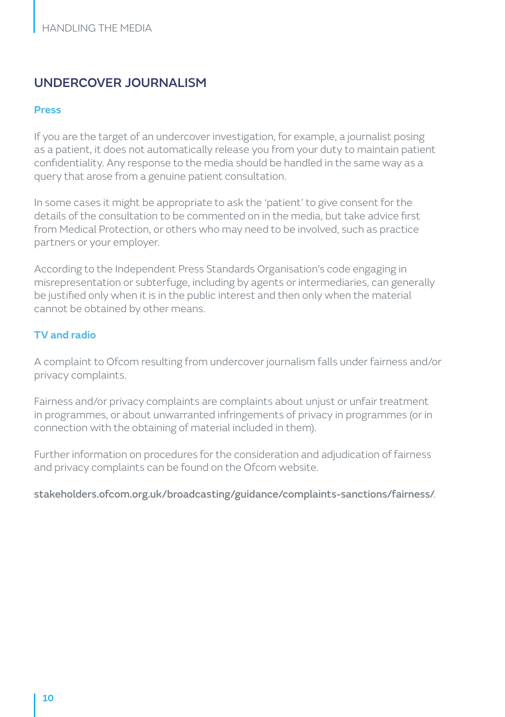## UNDERCOVER JOURNALISM

#### **Press**

If you are the target of an undercover investigation, for example, a journalist posing as a patient, it does not automatically release you from your duty to maintain patient confidentiality. Any response to the media should be handled in the same way as a query that arose from a genuine patient consultation.

In some cases it might be appropriate to ask the 'patient' to give consent for the details of the consultation to be commented on in the media, but take advice first from Medical Protection, or others who may need to be involved, such as practice partners or your employer.

According to the Independent Press Standards Organisation's code engaging in misrepresentation or subterfuge, including by agents or intermediaries, can generally be justified only when it is in the public interest and then only when the material cannot be obtained by other means.

#### **TV and radio**

A complaint to Ofcom resulting from undercover journalism falls under fairness and/or privacy complaints.

Fairness and/or privacy complaints are complaints about unjust or unfair treatment in programmes, or about unwarranted infringements of privacy in programmes (or in connection with the obtaining of material included in them).

Further information on procedures for the consideration and adjudication of fairness and privacy complaints can be found on the Ofcom website.

[stakeholders.ofcom.org.uk/broadcasting/guidance/complaints-sanctions/fairness/](http://consumers.ofcom.org.uk/complain/tv-and-radio-complaints/a-programme-which-I-was-in/).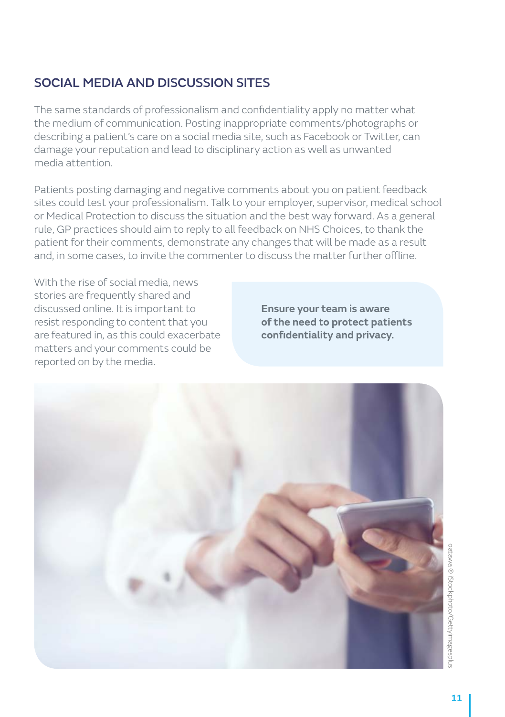## SOCIAL MEDIA AND DISCUSSION SITES

The same standards of professionalism and confidentiality apply no matter what the medium of communication. Posting inappropriate comments/photographs or describing a patient's care on a social media site, such as Facebook or Twitter, can damage your reputation and lead to disciplinary action as well as unwanted media attention.

Patients posting damaging and negative comments about you on patient feedback sites could test your professionalism. Talk to your employer, supervisor, medical school or Medical Protection to discuss the situation and the best way forward. As a general rule, GP practices should aim to reply to all feedback on NHS Choices, to thank the patient for their comments, demonstrate any changes that will be made as a result and, in some cases, to invite the commenter to discuss the matter further offline.

With the rise of social media, news stories are frequently shared and discussed online. It is important to resist responding to content that you are featured in, as this could exacerbate matters and your comments could be reported on by the media.

**Ensure your team is aware of the need to protect patients confidentiality and privacy.**

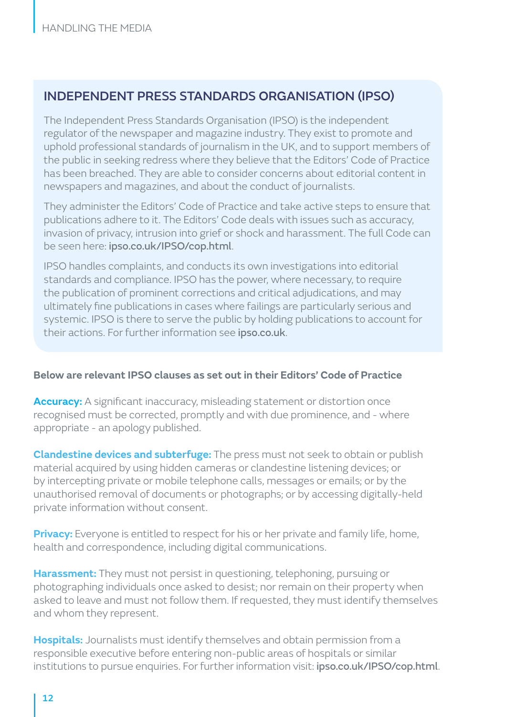## INDEPENDENT PRESS STANDARDS ORGANISATION (IPSO)

The Independent Press Standards Organisation (IPSO) is the independent regulator of the newspaper and magazine industry. They exist to promote and uphold professional standards of journalism in the UK, and to support members of the public in seeking redress where they believe that the Editors' Code of Practice has been breached. They are able to consider concerns about editorial content in newspapers and magazines, and about the conduct of journalists.

They administer the Editors' Code of Practice and take active steps to ensure that publications adhere to it. The Editors' Code deals with issues such as accuracy, invasion of privacy, intrusion into grief or shock and harassment. The full Code can be seen here: [ipso.co.uk/IPSO/cop.html](http://www.ipso.co.uk/IPSO/cop.html).

IPSO handles complaints, and conducts its own investigations into editorial standards and compliance. IPSO has the power, where necessary, to require the publication of prominent corrections and critical adjudications, and may ultimately fine publications in cases where failings are particularly serious and systemic. IPSO is there to serve the public by holding publications to account for their actions. For further information see [ipso.co.uk](http://www.ipso.co.uk).

#### **Below are relevant IPSO clauses as set out in their Editors' Code of Practice**

**Accuracy:** A significant inaccuracy, misleading statement or distortion once recognised must be corrected, promptly and with due prominence, and - where appropriate - an apology published.

**Clandestine devices and subterfuge:** The press must not seek to obtain or publish material acquired by using hidden cameras or clandestine listening devices; or by intercepting private or mobile telephone calls, messages or emails; or by the unauthorised removal of documents or photographs; or by accessing digitally-held private information without consent.

**Privacy:** Everyone is entitled to respect for his or her private and family life, home, health and correspondence, including digital communications.

**Harassment:** They must not persist in questioning, telephoning, pursuing or photographing individuals once asked to desist; nor remain on their property when asked to leave and must not follow them. If requested, they must identify themselves and whom they represent.

**Hospitals:** Journalists must identify themselves and obtain permission from a responsible executive before entering non-public areas of hospitals or similar institutions to pursue enquiries. For further information visit: [ipso.co.uk/IPSO/cop.html](https://www.ipso.co.uk/IPSO/cop.html).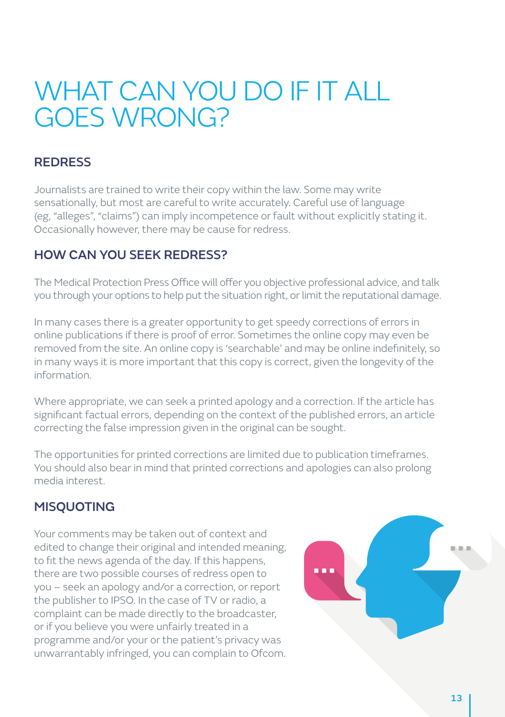## WHAT CAN YOU DO IF IT ALL GOES WRONG?

## **REDRESS**

Journalists are trained to write their copy within the law. Some may write sensationally, but most are careful to write accurately. Careful use of language (eg, "alleges", "claims") can imply incompetence or fault without explicitly stating it. Occasionally however, there may be cause for redress.

## HOW CAN YOU SEEK REDRESS?

The Medical Protection Press Office will offer you objective professional advice, and talk you through your options to help put the situation right, or limit the reputational damage.

In many cases there is a greater opportunity to get speedy corrections of errors in online publications if there is proof of error. Sometimes the online copy may even be removed from the site. An online copy is 'searchable' and may be online indefinitely, so in many ways it is more important that this copy is correct, given the longevity of the information.

Where appropriate, we can seek a printed apology and a correction. If the article has significant factual errors, depending on the context of the published errors, an article correcting the false impression given in the original can be sought.

The opportunities for printed corrections are limited due to publication timeframes. You should also bear in mind that printed corrections and apologies can also prolong media interest.

## MISQUOTING

Your comments may be taken out of context and edited to change their original and intended meaning, to fit the news agenda of the day. If this happens, there are two possible courses of redress open to you – seek an apology and/or a correction, or report the publisher to IPSO. In the case of TV or radio, a complaint can be made directly to the broadcaster, or if you believe you were unfairly treated in a programme and/or your or the patient's privacy was unwarrantably infringed, you can complain to Ofcom.

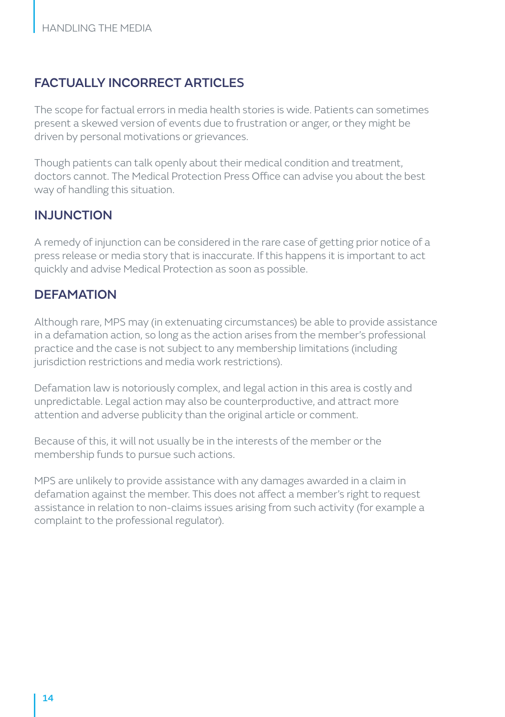## FACTUALLY INCORRECT ARTICLES

The scope for factual errors in media health stories is wide. Patients can sometimes present a skewed version of events due to frustration or anger, or they might be driven by personal motivations or grievances.

Though patients can talk openly about their medical condition and treatment, doctors cannot. The Medical Protection Press Office can advise you about the best way of handling this situation.

## INJUNCTION

A remedy of injunction can be considered in the rare case of getting prior notice of a press release or media story that is inaccurate. If this happens it is important to act quickly and advise Medical Protection as soon as possible.

## **DEFAMATION**

Although rare, MPS may (in extenuating circumstances) be able to provide assistance in a defamation action, so long as the action arises from the member's professional practice and the case is not subject to any membership limitations (including jurisdiction restrictions and media work restrictions).

Defamation law is notoriously complex, and legal action in this area is costly and unpredictable. Legal action may also be counterproductive, and attract more attention and adverse publicity than the original article or comment.

Because of this, it will not usually be in the interests of the member or the membership funds to pursue such actions.

MPS are unlikely to provide assistance with any damages awarded in a claim in defamation against the member. This does not affect a member's right to request assistance in relation to non-claims issues arising from such activity (for example a complaint to the professional regulator).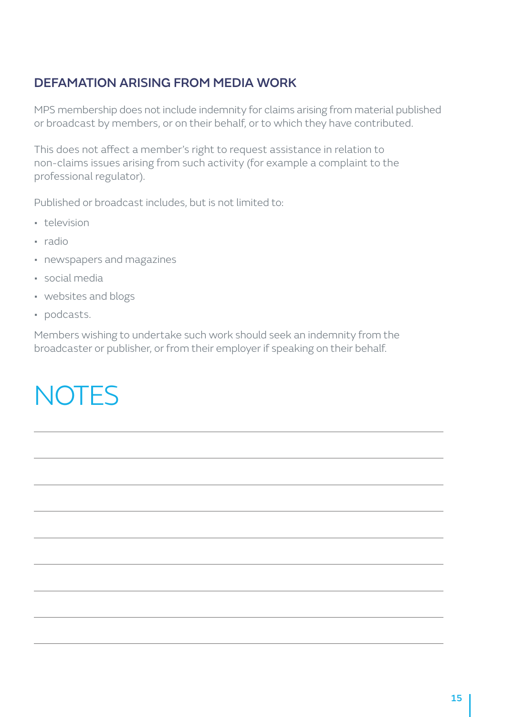## DEFAMATION ARISING FROM MEDIA WORK

MPS membership does not include indemnity for claims arising from material published or broadcast by members, or on their behalf, or to which they have contributed.

This does not affect a member's right to request assistance in relation to non-claims issues arising from such activity (for example a complaint to the professional regulator).

Published or broadcast includes, but is not limited to:

- television
- radio
- newspapers and magazines
- social media
- websites and blogs
- podcasts.

Members wishing to undertake such work should seek an indemnity from the broadcaster or publisher, or from their employer if speaking on their behalf.

## **NOTES**